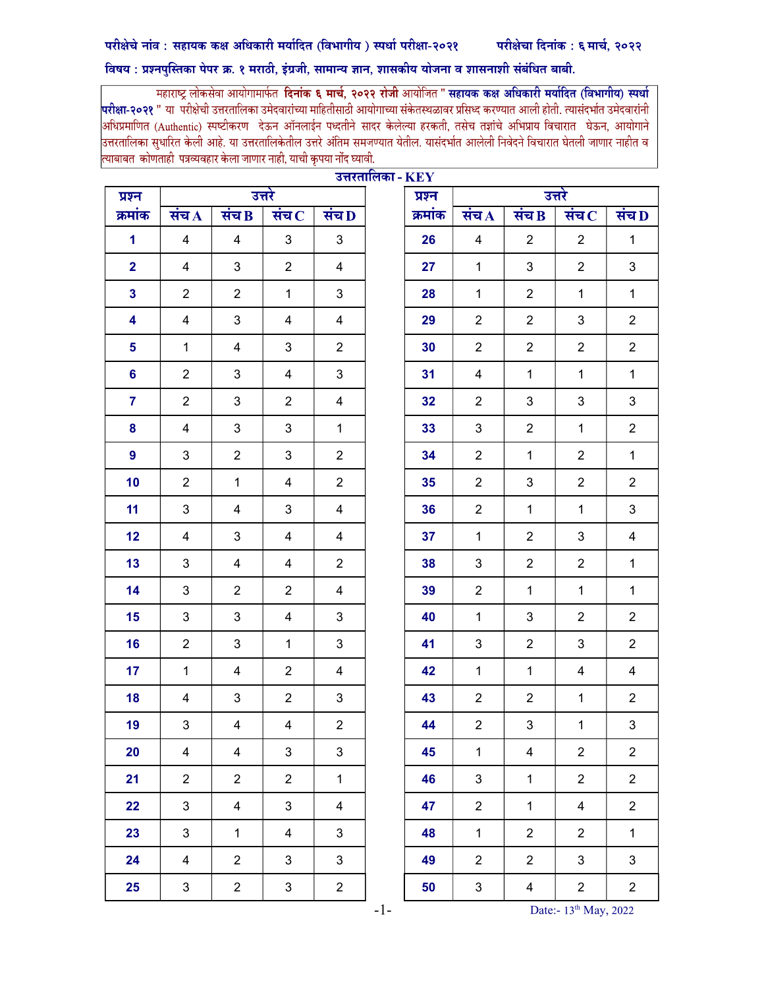## विषय : प्रश्नपुस्तिका पेपर क्र. १ मराठी, इंग्रजी, सामान्य ज्ञान, शासकीय योजना व शासनाशी संबंधित बाबी.

महाराष्ट्र लोकसेवा आयोगामार्फत **दिनांक ६ मार्च, २०२२ रोजी** आयोजित " **सहायक कक्ष अधिकारी मर्यादित (विभागीय) स्पर्धा** <mark>परीक्षा-२०२१</mark> " या परीक्षेची उत्तरतालिका उमेदवारांच्या माहितीसाठी आयोगाच्या संकेतस्थळावर प्रसिध्द करण्यात आली होती. त्यासंदर्भात उमेदवारांनी |<br>अधिप्रमाणित (Authentic) स्पष्टीकरण देऊन ऑनलाईन पध्दतीने सादर केलेल्या हरकती, तसेच तज्ञांचे अभिप्राय विचारात घेऊन, आयोगाने उत्तरतालिका सुधारित केली आहे. या उत्तरतालिकेतील उत्तरे अंतिम समजण्यात येतील. यासंदर्भात आलेली निवेदने विचारात घेतली जाणार नाहीत व त्याबाबत कोणताही पत्रव्यवहार केला जाणार नाही, याची कृपया नोंद घ्यावी.

|                         |                           | 7.1.1.11.1.17             | <b>ITEL</b>                 |                           |  |         |                         |                           |                             |                           |
|-------------------------|---------------------------|---------------------------|-----------------------------|---------------------------|--|---------|-------------------------|---------------------------|-----------------------------|---------------------------|
| प्रश्न                  |                           |                           | उत्तरे                      |                           |  | प्रश्न  |                         |                           | उत्तरे                      |                           |
| क्रमांक                 | संच $\bf{A}$              | संच B                     | संच $\overline{\mathbf{c}}$ | संच D                     |  | क्रमांक | संच $\overline{A}$      | संच $B$                   | संच $\overline{\mathbf{c}}$ | संच $\overline{D}$        |
| $\mathbf{1}$            | $\overline{\mathbf{4}}$   | $\overline{\mathbf{4}}$   | $\mathbf{3}$                | $\mathfrak{S}$            |  | 26      | $\overline{\mathbf{4}}$ | $\boldsymbol{2}$          | $\overline{2}$              | $\mathbf{1}$              |
| $\overline{\mathbf{2}}$ | $\overline{4}$            | $\ensuremath{\mathsf{3}}$ | $\overline{2}$              | 4                         |  | 27      | $\mathbf{1}$            | $\ensuremath{\mathsf{3}}$ | $\overline{2}$              | $\ensuremath{\mathsf{3}}$ |
| $\mathbf{3}$            | $\overline{2}$            | $\overline{c}$            | $\mathbf{1}$                | $\mathfrak{S}$            |  | 28      | $\mathbf{1}$            | $\boldsymbol{2}$          | $\mathbf{1}$                | $\mathbf{1}$              |
| $\overline{\mathbf{4}}$ | $\overline{4}$            | $\mathfrak{S}$            | $\overline{4}$              | 4                         |  | 29      | $\overline{2}$          | $\overline{2}$            | 3                           | $\overline{c}$            |
| 5                       | $\mathbf 1$               | $\overline{\mathbf{4}}$   | 3                           | $\overline{c}$            |  | 30      | $\overline{2}$          | $\overline{c}$            | $\overline{2}$              | $\overline{2}$            |
| $6\phantom{a}$          | $\overline{2}$            | $\mathfrak{B}$            | $\overline{4}$              | $\mathbf{3}$              |  | 31      | $\overline{\mathbf{4}}$ | $\mathbf{1}$              | $\mathbf{1}$                | $\mathbf{1}$              |
| $\overline{7}$          | $\overline{2}$            | $\ensuremath{\mathsf{3}}$ | $\overline{2}$              | $\overline{\mathbf{4}}$   |  | 32      | $\overline{2}$          | $\ensuremath{\mathsf{3}}$ | $\mathbf{3}$                | $\ensuremath{\mathsf{3}}$ |
| 8                       | $\overline{\mathbf{4}}$   | $\ensuremath{\mathsf{3}}$ | $\mathfrak{S}$              | $\mathbf{1}$              |  | 33      | $\mathfrak{S}$          | $\boldsymbol{2}$          | $\mathbf{1}$                | $\overline{\mathbf{c}}$   |
| $\boldsymbol{9}$        | $\mathbf{3}$              | $\overline{2}$            | 3                           | $\overline{c}$            |  | 34      | $\overline{2}$          | $\mathbf{1}$              | $\overline{2}$              | $\mathbf{1}$              |
| 10                      | $\overline{2}$            | $\mathbf{1}$              | $\overline{\mathbf{4}}$     | $\overline{2}$            |  | 35      | $\overline{2}$          | 3                         | $\overline{2}$              | $\overline{2}$            |
| 11                      | $\mathbf{3}$              | $\overline{\mathbf{4}}$   | $\mathbf{3}$                | $\overline{\mathbf{4}}$   |  | 36      | $\overline{2}$          | $\mathbf{1}$              | $\mathbf{1}$                | $\mathbf{3}$              |
| 12                      | $\overline{4}$            | $\ensuremath{\mathsf{3}}$ | $\overline{4}$              | $\overline{\mathbf{4}}$   |  | 37      | $\mathbf 1$             | $\boldsymbol{2}$          | $\mathbf{3}$                | $\overline{\mathbf{4}}$   |
| 13                      | $\mathfrak{S}$            | $\overline{\mathbf{4}}$   | 4                           | $\overline{c}$            |  | 38      | $\sqrt{3}$              | $\boldsymbol{2}$          | $\overline{2}$              | $\mathbf{1}$              |
| 14                      | $\mathbf{3}$              | $\overline{2}$            | $\overline{2}$              | 4                         |  | 39      | $\overline{2}$          | $\mathbf{1}$              | $\mathbf 1$                 | $\mathbf{1}$              |
| 15                      | $\mathfrak{S}$            | $\ensuremath{\mathsf{3}}$ | $\overline{4}$              | $\ensuremath{\mathsf{3}}$ |  | 40      | $\mathbf{1}$            | 3                         | $\overline{2}$              | $\overline{2}$            |
| 16                      | $\overline{2}$            | $\sqrt{3}$                | $\mathbf{1}$                | $\mathfrak{S}$            |  | 41      | $\sqrt{3}$              | $\boldsymbol{2}$          | 3                           | $\overline{c}$            |
| 17                      | $\mathbf{1}$              | $\overline{\mathbf{4}}$   | $\overline{2}$              | $\overline{\mathbf{4}}$   |  | 42      | $\mathbf{1}$            | $\mathbf{1}$              | $\overline{\mathbf{4}}$     | $\overline{\mathbf{4}}$   |
| 18                      | $\overline{\mathcal{A}}$  | $\ensuremath{\mathsf{3}}$ | $\overline{2}$              | $\ensuremath{\mathsf{3}}$ |  | 43      | $\overline{2}$          | $\boldsymbol{2}$          | $\mathbf{1}$                | $\overline{c}$            |
| 19                      | $\ensuremath{\mathsf{3}}$ | $\overline{\mathbf{4}}$   | $\overline{\mathbf{4}}$     | $\overline{c}$            |  | 44      | $\overline{2}$          | $\ensuremath{\mathsf{3}}$ | $\mathbf{1}$                | $\ensuremath{\mathsf{3}}$ |
| 20                      | $\overline{4}$            | $\overline{4}$            | $\mathfrak{S}$              | 3                         |  | 45      | $\mathbf{1}$            | 4                         | $\overline{2}$              | $\overline{c}$            |
| 21                      | $\overline{2}$            | $\overline{2}$            | $\overline{2}$              | $\mathbf{1}$              |  | 46      | $\mathbf{3}$            | $\mathbf{1}$              | $\overline{2}$              | $\overline{2}$            |
| 22                      | $\mathbf{3}$              | 4                         | $\mathbf{3}$                | $\overline{4}$            |  | 47      | $\overline{2}$          | $\mathbf{1}$              | $\overline{4}$              | $\overline{2}$            |
| 23                      | $\mathfrak{S}$            | $\mathbf{1}$              | 4                           | $\mathbf{3}$              |  | 48      | $\mathbf{1}$            | $\overline{2}$            | $\overline{2}$              | $\mathbf{1}$              |
| 24                      | $\overline{4}$            | $\overline{2}$            | 3                           | 3                         |  | 49      | $\overline{2}$          | $\overline{2}$            | $\mathbf{3}$                | $\mathbf{3}$              |
| 25                      | $\ensuremath{\mathsf{3}}$ | $\overline{c}$            | 3                           | $\overline{2}$            |  | 50      | 3                       | $\overline{\mathbf{4}}$   | $\overline{c}$              | $\overline{a}$            |

<u>उत्तरतालिका -  $\overline{\bf K}{\bf F}{\bf V}$ </u>

-1- Date:- 13<sup>th</sup> May, 2022